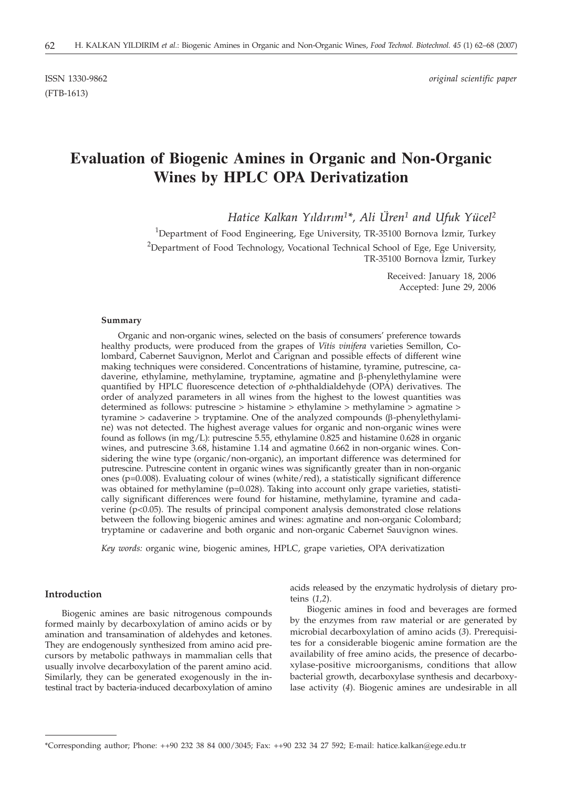(FTB-1613)

ISSN 1330-9862 *original scientific paper*

# **Evaluation of Biogenic Amines in Organic and Non-Organic Wines by HPLC OPA Derivatization**

*Hatice Kalkan Yýldýrým1\*, Ali Üren1 and Ufuk Yücel2*

 $^{\rm 1}$ Department of Food Engineering, Ege University, TR-35100 Bornova İzmir, Turkey <sup>2</sup>Department of Food Technology, Vocational Technical School of Ege, Ege University, TR-35100 Bornova İzmir, Turkey

> Received: January 18, 2006 Accepted: June 29, 2006

#### **Summary**

Organic and non-organic wines, selected on the basis of consumers' preference towards healthy products, were produced from the grapes of *Vitis vinifera* varieties Semillon, Colombard, Cabernet Sauvignon, Merlot and Carignan and possible effects of different wine making techniques were considered. Concentrations of histamine, tyramine, putrescine, cadaverine, ethylamine, methylamine, tryptamine, agmatine and b-phenylethylamine were quantified by HPLC fluorescence detection of *o*-phthaldialdehyde (OPA) derivatives. The order of analyzed parameters in all wines from the highest to the lowest quantities was determined as follows: putrescine > histamine > ethylamine > methylamine > agmatine > tyramine > cadaverine > tryptamine. One of the analyzed compounds  $(\beta$ -phenylethylamine) was not detected. The highest average values for organic and non-organic wines were found as follows (in mg/L): putrescine 5.55, ethylamine 0.825 and histamine 0.628 in organic wines, and putrescine 3.68, histamine 1.14 and agmatine 0.662 in non-organic wines. Considering the wine type (organic/non-organic), an important difference was determined for putrescine. Putrescine content in organic wines was significantly greater than in non-organic ones (p=0.008). Evaluating colour of wines (white/red), a statistically significant difference was obtained for methylamine (p=0.028). Taking into account only grape varieties, statistically significant differences were found for histamine, methylamine, tyramine and cadaverine (p<0.05). The results of principal component analysis demonstrated close relations between the following biogenic amines and wines: agmatine and non-organic Colombard; tryptamine or cadaverine and both organic and non-organic Cabernet Sauvignon wines.

*Key words:* organic wine, biogenic amines, HPLC, grape varieties, OPA derivatization

## **Introduction**

Biogenic amines are basic nitrogenous compounds formed mainly by decarboxylation of amino acids or by amination and transamination of aldehydes and ketones. They are endogenously synthesized from amino acid precursors by metabolic pathways in mammalian cells that usually involve decarboxylation of the parent amino acid. Similarly, they can be generated exogenously in the intestinal tract by bacteria-induced decarboxylation of amino acids released by the enzymatic hydrolysis of dietary proteins (*1,2*).

Biogenic amines in food and beverages are formed by the enzymes from raw material or are generated by microbial decarboxylation of amino acids (*3*). Prerequisites for a considerable biogenic amine formation are the availability of free amino acids, the presence of decarboxylase-positive microorganisms, conditions that allow bacterial growth, decarboxylase synthesis and decarboxylase activity (*4*). Biogenic amines are undesirable in all

<sup>\*</sup>Corresponding author; Phone: ++90 232 38 84 000/3045; Fax: ++90 232 34 27 592; E-mail: hatice.kalkan*@*ege.edu.tr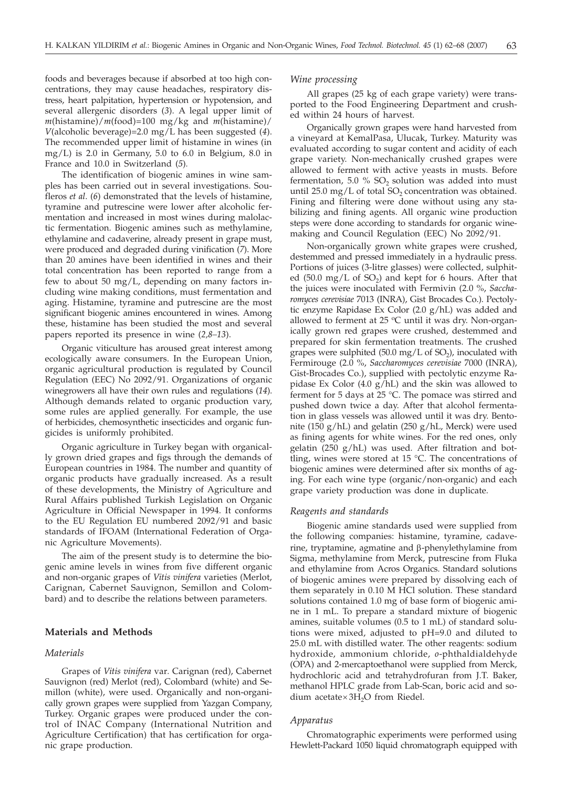foods and beverages because if absorbed at too high concentrations, they may cause headaches, respiratory distress, heart palpitation, hypertension or hypotension, and several allergenic disorders (*3*). A legal upper limit of *m*(histamine)/*m*(food)=100 mg/kg and *m*(histamine)/ *V*(alcoholic beverage)=2.0 mg/L has been suggested (*4*). The recommended upper limit of histamine in wines (in mg/L) is 2.0 in Germany, 5.0 to 6.0 in Belgium, 8.0 in France and 10.0 in Switzerland (*5*)*.*

The identification of biogenic amines in wine samples has been carried out in several investigations. Soufleros *et al*. (*6*) demonstrated that the levels of histamine, tyramine and putrescine were lower after alcoholic fermentation and increased in most wines during malolactic fermentation. Biogenic amines such as methylamine, ethylamine and cadaverine, already present in grape must, were produced and degraded during vinification (*7*). More than 20 amines have been identified in wines and their total concentration has been reported to range from a few to about 50 mg/L, depending on many factors including wine making conditions, must fermentation and aging. Histamine, tyramine and putrescine are the most significant biogenic amines encountered in wines. Among these, histamine has been studied the most and several papers reported its presence in wine (*2,8–13*).

Organic viticulture has aroused great interest among ecologically aware consumers. In the European Union, organic agricultural production is regulated by Council Regulation (EEC) No 2092/91. Organizations of organic winegrowers all have their own rules and regulations (*14*). Although demands related to organic production vary, some rules are applied generally. For example, the use of herbicides, chemosynthetic insecticides and organic fungicides is uniformly prohibited.

Organic agriculture in Turkey began with organically grown dried grapes and figs through the demands of European countries in 1984. The number and quantity of organic products have gradually increased. As a result of these developments, the Ministry of Agriculture and Rural Affairs published Turkish Legislation on Organic Agriculture in Official Newspaper in 1994. It conforms to the EU Regulation EU numbered 2092/91 and basic standards of IFOAM (International Federation of Organic Agriculture Movements).

The aim of the present study is to determine the biogenic amine levels in wines from five different organic and non-organic grapes of *Vitis vinifera* varieties (Merlot, Carignan, Cabernet Sauvignon, Semillon and Colombard) and to describe the relations between parameters.

#### **Materials and Methods**

## *Materials*

Grapes of *Vitis vinifera* var*.* Carignan (red), Cabernet Sauvignon (red) Merlot (red), Colombard (white) and Semillon (white), were used. Organically and non-organically grown grapes were supplied from Yazgan Company, Turkey. Organic grapes were produced under the control of INAC Company (International Nutrition and Agriculture Certification) that has certification for organic grape production.

#### *Wine processing*

All grapes (25 kg of each grape variety) were transported to the Food Engineering Department and crushed within 24 hours of harvest.

Organically grown grapes were hand harvested from a vineyard at KemalPasa, Ulucak, Turkey. Maturity was evaluated according to sugar content and acidity of each grape variety. Non-mechanically crushed grapes were allowed to ferment with active yeasts in musts. Before fermentation,  $5.0\%$  SO<sub>2</sub> solution was added into must until  $25.0 \text{ mg/L}$  of total SO<sub>2</sub> concentration was obtained. Fining and filtering were done without using any stabilizing and fining agents. All organic wine production steps were done according to standards for organic winemaking and Council Regulation (EEC) No 2092/91.

Non-organically grown white grapes were crushed, destemmed and pressed immediately in a hydraulic press. Portions of juices (3-litre glasses) were collected, sulphited (50.0 mg/L of  $SO<sub>2</sub>$ ) and kept for 6 hours. After that the juices were inoculated with Fermivin (2.0 %, *Saccharomyces cerevisiae* 7013 (INRA), Gist Brocades Co.). Pectolytic enzyme Rapidase Ex Color (2.0 g/hL) was added and allowed to ferment at  $25 \text{ °C}$  until it was dry. Non-organically grown red grapes were crushed, destemmed and prepared for skin fermentation treatments. The crushed grapes were sulphited  $(50.0 \text{ mg/L of SO}_2)$ , inoculated with Fermirouge (2.0 %, *Saccharomyces cerevisiae* 7000 (INRA), Gist-Brocades Co.), supplied with pectolytic enzyme Rapidase Ex Color (4.0  $g/hL$ ) and the skin was allowed to ferment for 5 days at 25 °C. The pomace was stirred and pushed down twice a day. After that alcohol fermentation in glass vessels was allowed until it was dry. Bentonite (150 g/hL) and gelatin (250 g/hL, Merck) were used as fining agents for white wines. For the red ones, only gelatin (250 g/hL) was used. After filtration and bottling, wines were stored at 15  $^{\circ}$ C. The concentrations of biogenic amines were determined after six months of aging. For each wine type (organic/non-organic) and each grape variety production was done in duplicate.

#### *Reagents and standards*

Biogenic amine standards used were supplied from the following companies: histamine, tyramine, cadaverine, tryptamine, agmatine and  $\beta$ -phenylethylamine from Sigma, methylamine from Merck, putrescine from Fluka and ethylamine from Acros Organics. Standard solutions of biogenic amines were prepared by dissolving each of them separately in 0.10 M HCl solution. These standard solutions contained 1.0 mg of base form of biogenic amine in 1 mL. To prepare a standard mixture of biogenic amines, suitable volumes (0.5 to 1 mL) of standard solutions were mixed, adjusted to pH=9.0 and diluted to 25.0 mL with distilled water. The other reagents: sodium hydroxide, ammonium chloride, *o*-phthaldialdehyde (OPA) and 2-mercaptoethanol were supplied from Merck, hydrochloric acid and tetrahydrofuran from J.T. Baker, methanol HPLC grade from Lab-Scan, boric acid and sodium acetate $\times 3H_2O$  from Riedel.

#### *Apparatus*

Chromatographic experiments were performed using Hewlett-Packard 1050 liquid chromatograph equipped with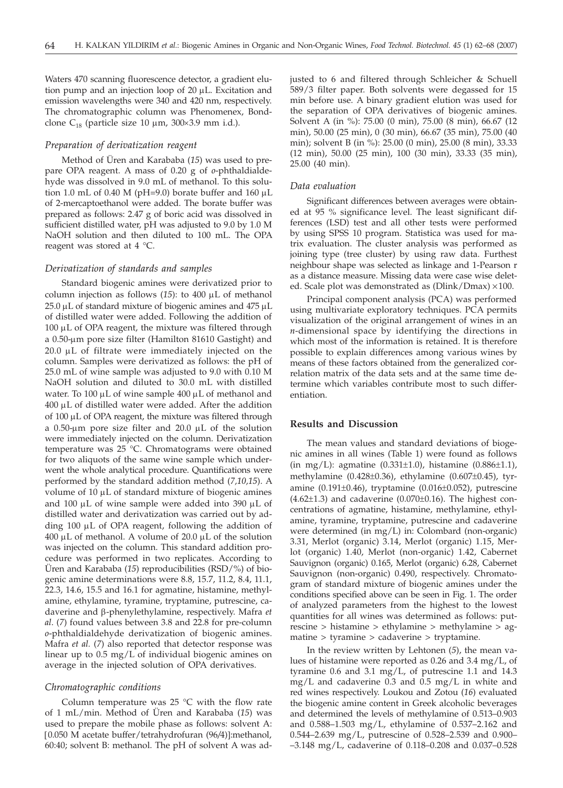Waters 470 scanning fluorescence detector, a gradient elution pump and an injection loop of  $20 \mu L$ . Excitation and emission wavelengths were 340 and 420 nm, respectively. The chromatographic column was Phenomenex, Bondclone  $C_{18}$  (particle size 10  $\mu$ m, 300×3.9 mm i.d.).

#### *Preparation of derivatization reagent*

Method of Üren and Karababa (*15*) was used to prepare OPA reagent. A mass of 0.20 g of *o*-phthaldialdehyde was dissolved in 9.0 mL of methanol. To this solution 1.0 mL of 0.40 M (pH=9.0) borate buffer and 160  $\mu$ L of 2-mercaptoethanol were added. The borate buffer was prepared as follows: 2.47 g of boric acid was dissolved in sufficient distilled water, pH was adjusted to 9.0 by 1.0 M NaOH solution and then diluted to 100 mL. The OPA reagent was stored at 4 °C.

## *Derivatization of standards and samples*

Standard biogenic amines were derivatized prior to column injection as follows (15): to 400 µL of methanol  $25.0 \mu L$  of standard mixture of biogenic amines and  $475 \mu L$ of distilled water were added. Following the addition of  $100 \mu L$  of OPA reagent, the mixture was filtered through a 0.50-µm pore size filter (Hamilton 81610 Gastight) and  $20.0 \mu L$  of filtrate were immediately injected on the column. Samples were derivatized as follows: the pH of 25.0 mL of wine sample was adjusted to 9.0 with 0.10 M NaOH solution and diluted to 30.0 mL with distilled water. To  $100 \mu L$  of wine sample  $400 \mu L$  of methanol and 400 mL of distilled water were added. After the addition of  $100 \mu L$  of OPA reagent, the mixture was filtered through a 0.50-um pore size filter and 20.0 µL of the solution were immediately injected on the column. Derivatization temperature was 25 °C. Chromatograms were obtained for two aliquots of the same wine sample which underwent the whole analytical procedure. Quantifications were performed by the standard addition method (*7,10,15*). A volume of  $10 \mu L$  of standard mixture of biogenic amines and 100  $\mu$ L of wine sample were added into 390  $\mu$ L of distilled water and derivatization was carried out by adding  $100 \mu L$  of OPA reagent, following the addition of 400  $\mu$ L of methanol. A volume of 20.0  $\mu$ L of the solution was injected on the column. This standard addition procedure was performed in two replicates. According to Üren and Karababa (*15*) reproducibilities (RSD/%) of biogenic amine determinations were 8.8, 15.7, 11.2, 8.4, 11.1, 22.3, 14.6, 15.5 and 16.1 for agmatine, histamine, methylamine, ethylamine, tyramine, tryptamine, putrescine, cadaverine and b-phenylethylamine, respectively. Mafra *et al*. (*7*) found values between 3.8 and 22.8 for pre-column *o*-phthaldialdehyde derivatization of biogenic amines. Mafra *et al.* (*7*) also reported that detector response was linear up to 0.5 mg/L of individual biogenic amines on average in the injected solution of OPA derivatives.

### *Chromatographic conditions*

Column temperature was  $25$  °C with the flow rate of 1 mL/min. Method of Üren and Karababa (*15*) was used to prepare the mobile phase as follows: solvent A: [0.050 M acetate buffer/tetrahydrofuran (96*/*4)]:methanol, 60:40; solvent B: methanol. The pH of solvent A was adjusted to 6 and filtered through Schleicher & Schuell 589/3 filter paper. Both solvents were degassed for 15 min before use. A binary gradient elution was used for the separation of OPA derivatives of biogenic amines. Solvent A (in %): 75.00 (0 min), 75.00 (8 min), 66.67 (12 min), 50.00 (25 min), 0 (30 min), 66.67 (35 min), 75.00 (40 min); solvent B (in %): 25.00 (0 min), 25.00 (8 min), 33.33 (12 min), 50.00 (25 min), 100 (30 min), 33.33 (35 min), 25.00 (40 min).

## *Data evaluation*

Significant differences between averages were obtained at 95 % significance level. The least significant differences (LSD) test and all other tests were performed by using SPSS 10 program. Statistica was used for matrix evaluation. The cluster analysis was performed as joining type (tree cluster) by using raw data. Furthest neighbour shape was selected as linkage and 1-Pearson r as a distance measure. Missing data were case wise deleted. Scale plot was demonstrated as  $(Dlink/Dmax) \times 100$ .

Principal component analysis (PCA) was performed using multivariate exploratory techniques. PCA permits visualization of the original arrangement of wines in an *n*-dimensional space by identifying the directions in which most of the information is retained. It is therefore possible to explain differences among various wines by means of these factors obtained from the generalized correlation matrix of the data sets and at the same time determine which variables contribute most to such differentiation.

## **Results and Discussion**

The mean values and standard deviations of biogenic amines in all wines (Table 1) were found as follows (in mg/L): agmatine  $(0.331 \pm 1.0)$ , histamine  $(0.886 \pm 1.1)$ , methylamine (0.428±0.36), ethylamine (0.607±0.45), tyramine (0.191±0.46), tryptamine (0.016±0.052), putrescine  $(4.62\pm1.3)$  and cadaverine  $(0.070\pm0.16)$ . The highest concentrations of agmatine, histamine, methylamine, ethylamine, tyramine, tryptamine, putrescine and cadaverine were determined (in mg/L) in: Colombard (non-organic) 3.31, Merlot (organic) 3.14, Merlot (organic) 1.15, Merlot (organic) 1.40, Merlot (non-organic) 1.42, Cabernet Sauvignon (organic) 0.165, Merlot (organic) 6.28, Cabernet Sauvignon (non-organic) 0.490, respectively. Chromatogram of standard mixture of biogenic amines under the conditions specified above can be seen in Fig. 1. The order of analyzed parameters from the highest to the lowest quantities for all wines was determined as follows: putrescine > histamine > ethylamine > methylamine > agmatine > tyramine > cadaverine > tryptamine.

In the review written by Lehtonen (*5*), the mean values of histamine were reported as 0.26 and 3.4 mg/L, of tyramine 0.6 and 3.1 mg/L, of putrescine 1.1 and 14.3 mg/L and cadaverine 0.3 and 0.5 mg/L in white and red wines respectively. Loukou and Zotou (*16*) evaluated the biogenic amine content in Greek alcoholic beverages and determined the levels of methylamine of 0.513–0.903 and 0.588–1.503 mg/L, ethylamine of 0.537–2.162 and 0.544–2.639 mg/L, putrescine of 0.528–2.539 and 0.900– –3.148 mg/L, cadaverine of 0.118–0.208 and 0.037–0.528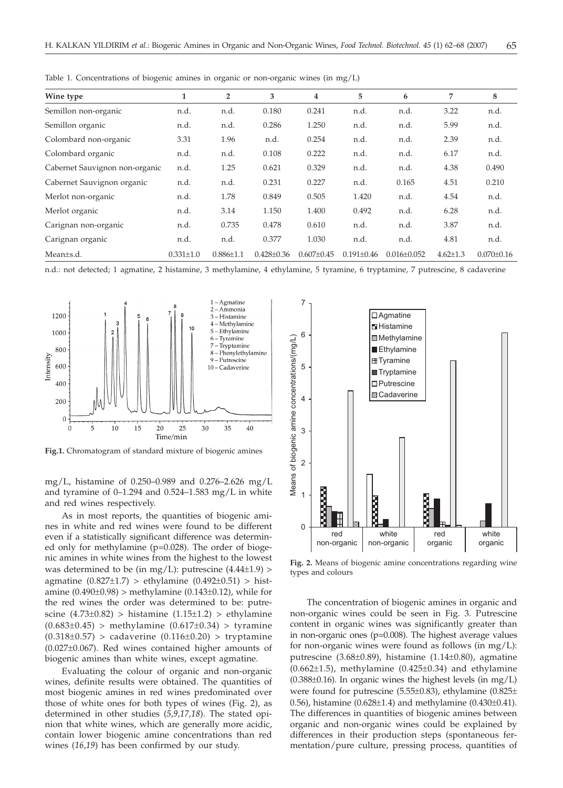| Wine type                      | 1               | $\overline{2}$  | 3                | 4              | 5              | 6               | 7              | 8              |
|--------------------------------|-----------------|-----------------|------------------|----------------|----------------|-----------------|----------------|----------------|
| Semillon non-organic           | n.d.            | n.d.            | 0.180            | 0.241          | n.d.           | n.d.            | 3.22           | n.d.           |
| Semillon organic               | n.d.            | n.d.            | 0.286            | 1.250          | n.d.           | n.d.            | 5.99           | n.d.           |
| Colombard non-organic          | 3.31            | 1.96            | n.d.             | 0.254          | n.d.           | n.d.            | 2.39           | n.d.           |
| Colombard organic              | n.d.            | n.d.            | 0.108            | 0.222          | n.d.           | n.d.            | 6.17           | n.d.           |
| Cabernet Sauvignon non-organic | n.d.            | 1.25            | 0.621            | 0.329          | n.d.           | n.d.            | 4.38           | 0.490          |
| Cabernet Sauvignon organic     | n.d.            | n.d.            | 0.231            | 0.227          | n.d.           | 0.165           | 4.51           | 0.210          |
| Merlot non-organic             | n.d.            | 1.78            | 0.849            | 0.505          | 1.420          | n.d.            | 4.54           | n.d.           |
| Merlot organic                 | n.d.            | 3.14            | 1.150            | 1.400          | 0.492          | n.d.            | 6.28           | n.d.           |
| Carignan non-organic           | n.d.            | 0.735           | 0.478            | 0.610          | n.d.           | n.d.            | 3.87           | n.d.           |
| Carignan organic               | n.d.            | n.d.            | 0.377            | 1.030          | n.d.           | n.d.            | 4.81           | n.d.           |
| Mean+s.d.                      | $0.331 \pm 1.0$ | $0.886 \pm 1.1$ | $0.428 \pm 0.36$ | $0.607 + 0.45$ | $0.191 + 0.46$ | $0.016 + 0.052$ | $4.62 \pm 1.3$ | $0.070 + 0.16$ |

Table 1. Concentrations of biogenic amines in organic or non-organic wines (in mg/L)

n.d.: not detected; 1 agmatine, 2 histamine, 3 methylamine, 4 ethylamine, 5 tyramine, 6 tryptamine, 7 putrescine, 8 cadaverine



**Fig.1.** Chromatogram of standard mixture of biogenic amines

mg/L, histamine of 0.250–0.989 and 0.276–2.626 mg/L and tyramine of  $0-1.294$  and  $0.524-1.583$  mg/L in white and red wines respectively.

As in most reports, the quantities of biogenic amines in white and red wines were found to be different even if a statistically significant difference was determined only for methylamine (p=0.028). The order of biogenic amines in white wines from the highest to the lowest was determined to be (in mg/L): putrescine  $(4.44\pm1.9)$  > agmatine  $(0.827 \pm 1.7) >$  ethylamine  $(0.492 \pm 0.51) >$  histamine  $(0.490 \pm 0.98)$  > methylamine  $(0.143 \pm 0.12)$ , while for the red wines the order was determined to be: putrescine  $(4.73\pm0.82)$  > histamine  $(1.15\pm1.2)$  > ethylamine  $(0.683\pm0.45)$  > methylamine  $(0.617\pm0.34)$  > tyramine  $(0.318±0.57) >$  cadaverine  $(0.116±0.20) >$  tryptamine (0.027±0.067). Red wines contained higher amounts of biogenic amines than white wines, except agmatine.

Evaluating the colour of organic and non-organic wines, definite results were obtained. The quantities of most biogenic amines in red wines predominated over those of white ones for both types of wines (Fig. 2), as determined in other studies (*5,9,17,18*). The stated opinion that white wines, which are generally more acidic, contain lower biogenic amine concentrations than red wines (*16*,*19*) has been confirmed by our study.



**Fig. 2.** Means of biogenic amine concentrations regarding wine types and colours

The concentration of biogenic amines in organic and non-organic wines could be seen in Fig. 3. Putrescine content in organic wines was significantly greater than in non-organic ones (p=0.008). The highest average values for non-organic wines were found as follows (in mg/L): putrescine (3.68±0.89), histamine (1.14±0.80), agmatine  $(0.662\pm1.5)$ , methylamine  $(0.425\pm0.34)$  and ethylamine  $(0.388±0.16)$ . In organic wines the highest levels  $(in \ mg/L)$ were found for putrescine (5.55±0.83), ethylamine (0.825± 0.56), histamine  $(0.628 \pm 1.4)$  and methylamine  $(0.430 \pm 0.41)$ . The differences in quantities of biogenic amines between organic and non-organic wines could be explained by differences in their production steps (spontaneous fermentation/pure culture, pressing process, quantities of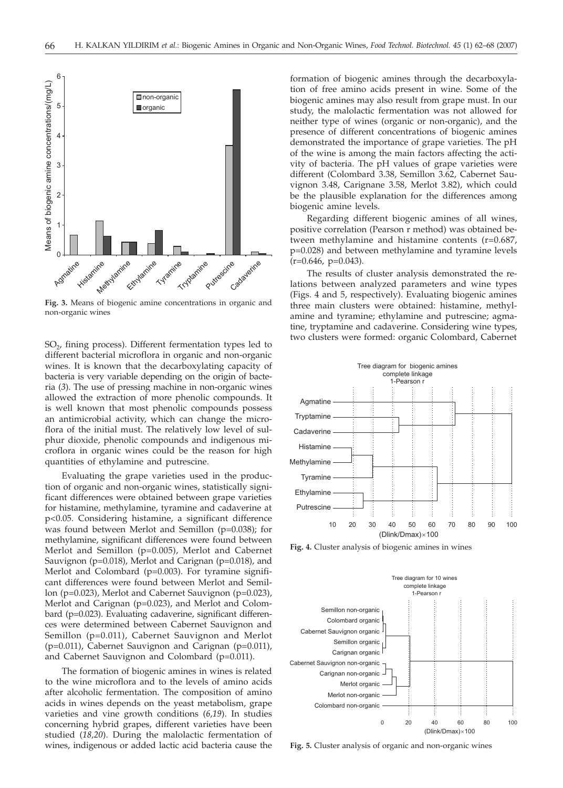

**Fig. 3.** Means of biogenic amine concentrations in organic and non-organic wines

 $SO<sub>2</sub>$ , fining process). Different fermentation types led to different bacterial microflora in organic and non-organic wines. It is known that the decarboxylating capacity of bacteria is very variable depending on the origin of bacteria (*3*). The use of pressing machine in non-organic wines allowed the extraction of more phenolic compounds. It is well known that most phenolic compounds possess an antimicrobial activity, which can change the microflora of the initial must. The relatively low level of sulphur dioxide, phenolic compounds and indigenous microflora in organic wines could be the reason for high quantities of ethylamine and putrescine.

Evaluating the grape varieties used in the production of organic and non-organic wines, statistically significant differences were obtained between grape varieties for histamine, methylamine, tyramine and cadaverine at p<0.05. Considering histamine, a significant difference was found between Merlot and Semillon (p=0.038); for methylamine, significant differences were found between Merlot and Semillon (p=0.005), Merlot and Cabernet Sauvignon (p=0.018), Merlot and Carignan (p=0.018), and Merlot and Colombard (p=0.003). For tyramine significant differences were found between Merlot and Semillon (p=0.023), Merlot and Cabernet Sauvignon (p=0.023), Merlot and Carignan (p=0.023), and Merlot and Colombard (p=0.023). Evaluating cadaverine, significant differences were determined between Cabernet Sauvignon and Semillon (p=0.011), Cabernet Sauvignon and Merlot (p=0.011), Cabernet Sauvignon and Carignan (p=0.011), and Cabernet Sauvignon and Colombard (p=0.011).

The formation of biogenic amines in wines is related to the wine microflora and to the levels of amino acids after alcoholic fermentation. The composition of amino acids in wines depends on the yeast metabolism, grape varieties and vine growth conditions (*6,19*). In studies concerning hybrid grapes, different varieties have been studied (*18,20*). During the malolactic fermentation of wines, indigenous or added lactic acid bacteria cause the formation of biogenic amines through the decarboxylation of free amino acids present in wine. Some of the biogenic amines may also result from grape must. In our study, the malolactic fermentation was not allowed for neither type of wines (organic or non-organic), and the presence of different concentrations of biogenic amines demonstrated the importance of grape varieties. The pH of the wine is among the main factors affecting the activity of bacteria. The pH values of grape varieties were different (Colombard 3.38, Semillon 3.62, Cabernet Sauvignon 3.48, Carignane 3.58, Merlot 3.82), which could be the plausible explanation for the differences among biogenic amine levels.

Regarding different biogenic amines of all wines, positive correlation (Pearson r method) was obtained between methylamine and histamine contents (r=0.687, p=0.028) and between methylamine and tyramine levels  $(r=0.646, p=0.043)$ .

The results of cluster analysis demonstrated the relations between analyzed parameters and wine types (Figs. 4 and 5, respectively). Evaluating biogenic amines three main clusters were obtained: histamine, methylamine and tyramine; ethylamine and putrescine; agmatine, tryptamine and cadaverine. Considering wine types, two clusters were formed: organic Colombard, Cabernet



**Fig. 4.** Cluster analysis of biogenic amines in wines



**Fig. 5.** Cluster analysis of organic and non-organic wines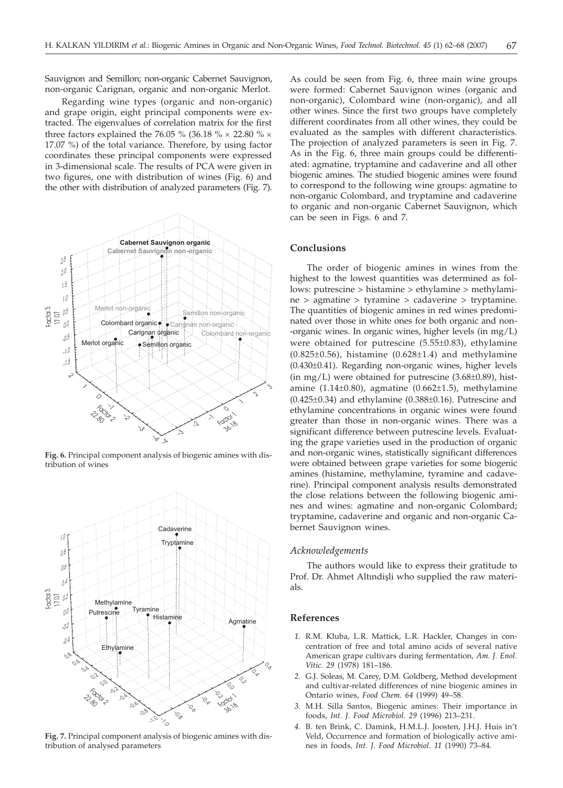Sauvignon and Semillon; non-organic Cabernet Sauvignon, non-organic Carignan, organic and non-organic Merlot.

Regarding wine types (organic and non-organic) and grape origin, eight principal components were extracted. The eigenvalues of correlation matrix for the first three factors explained the 76.05 % (36.18 %  $\times$  22.80 %  $\times$ 17.07 %) of the total variance. Therefore, by using factor coordinates these principal components were expressed in 3-dimensional scale. The results of PCA were given in two figures, one with distribution of wines (Fig. 6) and the other with distribution of analyzed parameters (Fig. 7).



**Fig. 6.** Principal component analysis of biogenic amines with distribution of wines



**Fig. 7.** Principal component analysis of biogenic amines with distribution of analysed parameters

As could be seen from Fig. 6, three main wine groups were formed: Cabernet Sauvignon wines (organic and non-organic), Colombard wine (non-organic), and all other wines. Since the first two groups have completely different coordinates from all other wines, they could be evaluated as the samples with different characteristics. The projection of analyzed parameters is seen in Fig. 7. As in the Fig. 6, three main groups could be differentiated: agmatine, tryptamine and cadaverine and all other biogenic amines. The studied biogenic amines were found to correspond to the following wine groups: agmatine to non-organic Colombard, and tryptamine and cadaverine to organic and non-organic Cabernet Sauvignon, which can be seen in Figs. 6 and 7.

## **Conclusions**

The order of biogenic amines in wines from the highest to the lowest quantities was determined as follows: putrescine > histamine > ethylamine > methylamine > agmatine > tyramine > cadaverine > tryptamine. The quantities of biogenic amines in red wines predominated over those in white ones for both organic and non- -organic wines. In organic wines, higher levels (in mg/L) were obtained for putrescine  $(5.55\pm0.83)$ , ethylamine  $(0.825\pm0.56)$ , histamine  $(0.628\pm1.4)$  and methylamine (0.430±0.41). Regarding non-organic wines, higher levels (in mg/L) were obtained for putrescine (3.68±0.89), histamine  $(1.14\pm0.80)$ , agmatine  $(0.662\pm1.5)$ , methylamine  $(0.425\pm0.34)$  and ethylamine  $(0.388\pm0.16)$ . Putrescine and ethylamine concentrations in organic wines were found greater than those in non-organic wines. There was a significant difference between putrescine levels. Evaluating the grape varieties used in the production of organic and non-organic wines, statistically significant differences were obtained between grape varieties for some biogenic amines (histamine, methylamine, tyramine and cadaverine). Principal component analysis results demonstrated the close relations between the following biogenic amines and wines: agmatine and non-organic Colombard; tryptamine, cadaverine and organic and non-organic Cabernet Sauvignon wines.

#### *Acknowledgements*

The authors would like to express their gratitude to Prof. Dr. Ahmet Altındişli who supplied the raw materials.

#### **References**

- *1.* R.M. Kluba, L.R. Mattick, L.R. Hackler, Changes in concentration of free and total amino acids of several native American grape cultivars during fermentation*, Am. J. Enol. Vitic. 29* (1978) 181–186.
- *2.* G.J. Soleas, M. Carey, D.M. Goldberg, Method development and cultivar-related differences of nine biogenic amines in Ontario wines, *Food Chem. 64* (1999) 49–58.
- *3.* M.H. Silla Santos, Biogenic amines: Their importance in foods, *Int. J. Food Microbiol. 29* (1996) 213–231.
- *4.* B. ten Brink, C. Damink, H.M.L.J. Joosten, J.H.J. Huis in't Veld, Occurrence and formation of biologically active amines in foods*, Int. J. Food Microbiol. 11* (1990) 73–84.